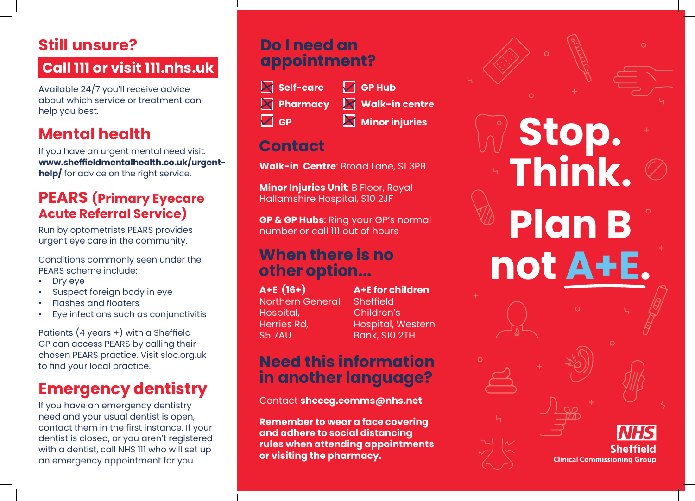# **Still unsure?**

### **Call 111 or visit 111.nhs.uk**

Available 24/7 you'll receive advice about which service or treatment can help you best.

## **Mental health**

If you have an urgent mental need visit: **www.sheffieldmentalhealth.co.uk/urgenthelp/** for advice on the right service.

#### **PEARS (Primary Eyecare Acute Referral Service)**

Run by optometrists PEARS provides urgent eye care in the community.

Conditions commonly seen under the PEARS scheme include:

- Dry eye
- Suspect foreign body in eye
- Flashes and floaters
- Eye infections such as conjunctivitis

Patients (4 years +) with a Sheffield GP can access PEARS by calling their chosen PEARS practice. Visit sloc.org.uk to find your local practice.

## **Emergency dentistry**

If you have an emergency dentistry need and your usual dentist is open, contact them in the first instance. If your dentist is closed, or you aren't registered with a dentist, call NHS 111 who will set up an emergency appointment for you.

#### **Do I need an appointment?**

**Self-care Pharmacy GP**

**M** Walk-in centre **Minor injuries** 

**GP Hub**

### **Contact**

**Walk-in Centre**: Broad Lane, S1 3PB

**Minor Injuries Unit**: B Floor, Royal Hallamshire Hospital, S10 2JF

**GP & GP Hubs**: Ring your GP's normal number or call 111 out of hours

#### **When there is no other option...**

**A+E (16+)** Northern General Hospital, Herries Rd, S5 7AU

**A+E for children Sheffield** Children's Hospital, Western Bank, S10 2TH

#### **Need this information in another language?**

Contact **sheccg.comms@nhs.net**

**Remember to wear a face covering and adhere to social distancing rules when attending appointments or visiting the pharmacy.** 

**Stop. Think. Plan B not A+E.** Sheffield **Clinical Commissioning Group**